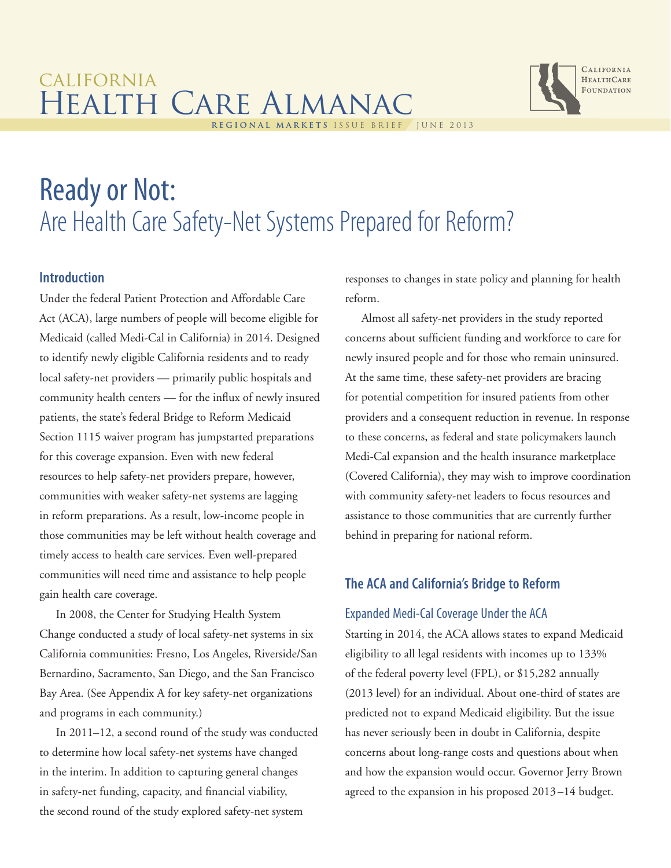# california Health Care Almanac **regional markets** issue brief june 2013



# Ready or Not: Are Health Care Safety-Net Systems Prepared for Reform?

# **Introduction**

Under the federal Patient Protection and Affordable Care Act (ACA), large numbers of people will become eligible for Medicaid (called Medi-Cal in California) in 2014. Designed to identify newly eligible California residents and to ready local safety-net providers — primarily public hospitals and community health centers — for the influx of newly insured patients, the state's federal Bridge to Reform Medicaid Section 1115 waiver program has jumpstarted preparations for this coverage expansion. Even with new federal resources to help safety-net providers prepare, however, communities with weaker safety-net systems are lagging in reform preparations. As a result, low-income people in those communities may be left without health coverage and timely access to health care services. Even well-prepared communities will need time and assistance to help people gain health care coverage.

In 2008, the Center for Studying Health System Change conducted a study of local safety-net systems in six California communities: Fresno, Los Angeles, Riverside/San Bernardino, Sacramento, San Diego, and the San Francisco Bay Area. (See Appendix A for key safety-net organizations and programs in each community.)

In 2011–12, a second round of the study was conducted to determine how local safety-net systems have changed in the interim. In addition to capturing general changes in safety-net funding, capacity, and financial viability, the second round of the study explored safety-net system

responses to changes in state policy and planning for health reform.

Almost all safety-net providers in the study reported concerns about sufficient funding and workforce to care for newly insured people and for those who remain uninsured. At the same time, these safety-net providers are bracing for potential competition for insured patients from other providers and a consequent reduction in revenue. In response to these concerns, as federal and state policymakers launch Medi-Cal expansion and the health insurance marketplace (Covered California), they may wish to improve coordination with community safety-net leaders to focus resources and assistance to those communities that are currently further behind in preparing for national reform.

# **The ACA and California's Bridge to Reform**

# Expanded Medi-Cal Coverage Under the ACA

Starting in 2014, the ACA allows states to expand Medicaid eligibility to all legal residents with incomes up to 133% of the federal poverty level (FPL), or \$15,282 annually (2013 level) for an individual. About one-third of states are predicted not to expand Medicaid eligibility. But the issue has never seriously been in doubt in California, despite concerns about long-range costs and questions about when and how the expansion would occur. Governor Jerry Brown agreed to the expansion in his proposed 2013–14 budget.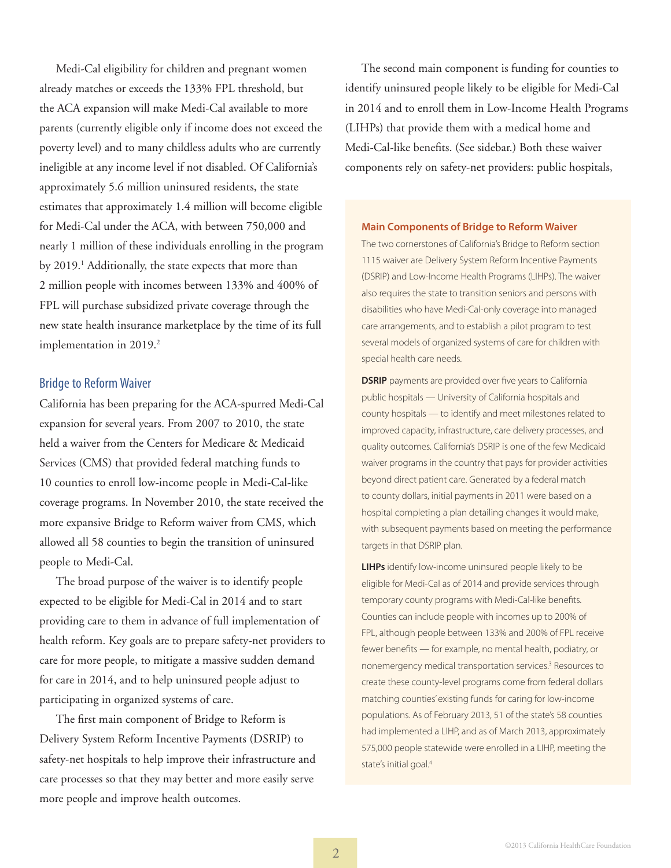Medi-Cal eligibility for children and pregnant women already matches or exceeds the 133% FPL threshold, but the ACA expansion will make Medi-Cal available to more parents (currently eligible only if income does not exceed the poverty level) and to many childless adults who are currently ineligible at any income level if not disabled. Of California's approximately 5.6 million uninsured residents, the state estimates that approximately 1.4 million will become eligible for Medi-Cal under the ACA, with between 750,000 and nearly 1 million of these individuals enrolling in the program by 2019.<sup>1</sup> Additionally, the state expects that more than 2 million people with incomes between 133% and 400% of FPL will purchase subsidized private coverage through the new state health insurance marketplace by the time of its full implementation in 2019.<sup>2</sup>

# Bridge to Reform Waiver

California has been preparing for the ACA-spurred Medi-Cal expansion for several years. From 2007 to 2010, the state held a waiver from the Centers for Medicare & Medicaid Services (CMS) that provided federal matching funds to 10 counties to enroll low-income people in Medi-Cal-like coverage programs. In November 2010, the state received the more expansive Bridge to Reform waiver from CMS, which allowed all 58 counties to begin the transition of uninsured people to Medi-Cal.

The broad purpose of the waiver is to identify people expected to be eligible for Medi-Cal in 2014 and to start providing care to them in advance of full implementation of health reform. Key goals are to prepare safety-net providers to care for more people, to mitigate a massive sudden demand for care in 2014, and to help uninsured people adjust to participating in organized systems of care.

The first main component of Bridge to Reform is Delivery System Reform Incentive Payments (DSRIP) to safety-net hospitals to help improve their infrastructure and care processes so that they may better and more easily serve more people and improve health outcomes.

The second main component is funding for counties to identify uninsured people likely to be eligible for Medi-Cal in 2014 and to enroll them in Low-Income Health Programs (LIHPs) that provide them with a medical home and Medi-Cal-like benefits. (See sidebar.) Both these waiver components rely on safety-net providers: public hospitals,

#### **Main Components of Bridge to Reform Waiver**

The two cornerstones of California's Bridge to Reform section 1115 waiver are Delivery System Reform Incentive Payments (DSRIP) and Low-Income Health Programs (LIHPs). The waiver also requires the state to transition seniors and persons with disabilities who have Medi-Cal-only coverage into managed care arrangements, and to establish a pilot program to test several models of organized systems of care for children with special health care needs.

**DSRIP** payments are provided over five years to California public hospitals — University of California hospitals and county hospitals — to identify and meet milestones related to improved capacity, infrastructure, care delivery processes, and quality outcomes. California's DSRIP is one of the few Medicaid waiver programs in the country that pays for provider activities beyond direct patient care. Generated by a federal match to county dollars, initial payments in 2011 were based on a hospital completing a plan detailing changes it would make, with subsequent payments based on meeting the performance targets in that DSRIP plan.

**LIHPs** identify low-income uninsured people likely to be eligible for Medi-Cal as of 2014 and provide services through temporary county programs with Medi-Cal-like benefits. Counties can include people with incomes up to 200% of FPL, although people between 133% and 200% of FPL receive fewer benefits — for example, no mental health, podiatry, or nonemergency medical transportation services.<sup>3</sup> Resources to create these county-level programs come from federal dollars matching counties' existing funds for caring for low-income populations. As of February 2013, 51 of the state's 58 counties had implemented a LIHP, and as of March 2013, approximately 575,000 people statewide were enrolled in a LIHP, meeting the state's initial goal.<sup>4</sup>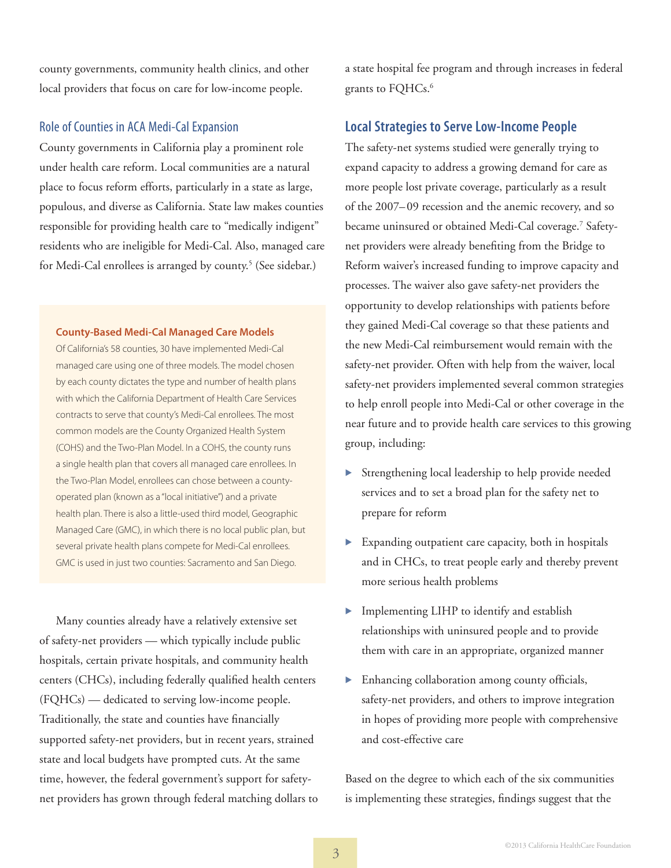county governments, community health clinics, and other local providers that focus on care for low-income people.

# Role of Counties in ACA Medi-Cal Expansion

County governments in California play a prominent role under health care reform. Local communities are a natural place to focus reform efforts, particularly in a state as large, populous, and diverse as California. State law makes counties responsible for providing health care to "medically indigent" residents who are ineligible for Medi-Cal. Also, managed care for Medi-Cal enrollees is arranged by county.<sup>5</sup> (See sidebar.)

#### **County-Based Medi-Cal Managed Care Models**

Of California's 58 counties, 30 have implemented Medi-Cal managed care using one of three models. The model chosen by each county dictates the type and number of health plans with which the California Department of Health Care Services contracts to serve that county's Medi-Cal enrollees. The most common models are the County Organized Health System (COHS) and the Two-Plan Model. In a COHS, the county runs a single health plan that covers all managed care enrollees. In the Two-Plan Model, enrollees can chose between a countyoperated plan (known as a "local initiative") and a private health plan. There is also a little-used third model, Geographic Managed Care (GMC), in which there is no local public plan, but several private health plans compete for Medi-Cal enrollees. GMC is used in just two counties: Sacramento and San Diego.

Many counties already have a relatively extensive set of safety-net providers — which typically include public hospitals, certain private hospitals, and community health centers (CHCs), including federally qualified health centers (FQHCs) — dedicated to serving low-income people. Traditionally, the state and counties have financially supported safety-net providers, but in recent years, strained state and local budgets have prompted cuts. At the same time, however, the federal government's support for safetynet providers has grown through federal matching dollars to a state hospital fee program and through increases in federal grants to FQHCs.<sup>6</sup>

# **Local Strategies to Serve Low-Income People**

The safety-net systems studied were generally trying to expand capacity to address a growing demand for care as more people lost private coverage, particularly as a result of the 2007–09 recession and the anemic recovery, and so became uninsured or obtained Medi-Cal coverage.7 Safetynet providers were already benefiting from the Bridge to Reform waiver's increased funding to improve capacity and processes. The waiver also gave safety-net providers the opportunity to develop relationships with patients before they gained Medi-Cal coverage so that these patients and the new Medi-Cal reimbursement would remain with the safety-net provider. Often with help from the waiver, local safety-net providers implemented several common strategies to help enroll people into Medi-Cal or other coverage in the near future and to provide health care services to this growing group, including:

- Strengthening local leadership to help provide needed services and to set a broad plan for the safety net to prepare for reform
- ▶ Expanding outpatient care capacity, both in hospitals and in CHCs, to treat people early and thereby prevent more serious health problems
- Implementing LIHP to identify and establish relationships with uninsured people and to provide them with care in an appropriate, organized manner
- Enhancing collaboration among county officials, safety-net providers, and others to improve integration in hopes of providing more people with comprehensive and cost-effective care

Based on the degree to which each of the six communities is implementing these strategies, findings suggest that the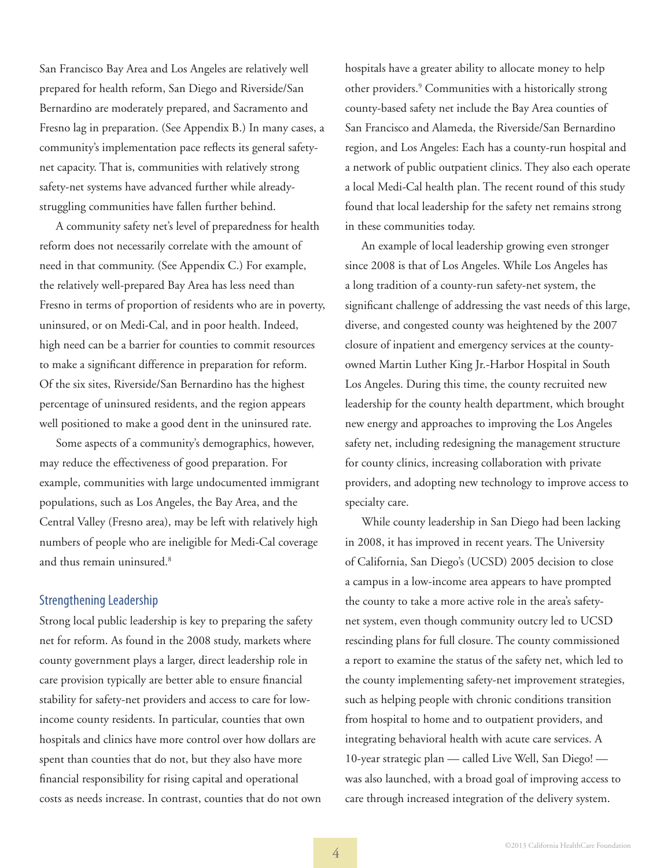San Francisco Bay Area and Los Angeles are relatively well prepared for health reform, San Diego and Riverside/San Bernardino are moderately prepared, and Sacramento and Fresno lag in preparation. (See Appendix B.) In many cases, a community's implementation pace reflects its general safetynet capacity. That is, communities with relatively strong safety-net systems have advanced further while alreadystruggling communities have fallen further behind.

A community safety net's level of preparedness for health reform does not necessarily correlate with the amount of need in that community. (See Appendix C.) For example, the relatively well-prepared Bay Area has less need than Fresno in terms of proportion of residents who are in poverty, uninsured, or on Medi-Cal, and in poor health. Indeed, high need can be a barrier for counties to commit resources to make a significant difference in preparation for reform. Of the six sites, Riverside/San Bernardino has the highest percentage of uninsured residents, and the region appears well positioned to make a good dent in the uninsured rate.

Some aspects of a community's demographics, however, may reduce the effectiveness of good preparation. For example, communities with large undocumented immigrant populations, such as Los Angeles, the Bay Area, and the Central Valley (Fresno area), may be left with relatively high numbers of people who are ineligible for Medi-Cal coverage and thus remain uninsured.<sup>8</sup>

# Strengthening Leadership

Strong local public leadership is key to preparing the safety net for reform. As found in the 2008 study, markets where county government plays a larger, direct leadership role in care provision typically are better able to ensure financial stability for safety-net providers and access to care for lowincome county residents. In particular, counties that own hospitals and clinics have more control over how dollars are spent than counties that do not, but they also have more financial responsibility for rising capital and operational costs as needs increase. In contrast, counties that do not own hospitals have a greater ability to allocate money to help other providers.9 Communities with a historically strong county-based safety net include the Bay Area counties of San Francisco and Alameda, the Riverside/San Bernardino region, and Los Angeles: Each has a county-run hospital and a network of public outpatient clinics. They also each operate a local Medi-Cal health plan. The recent round of this study found that local leadership for the safety net remains strong in these communities today.

An example of local leadership growing even stronger since 2008 is that of Los Angeles. While Los Angeles has a long tradition of a county-run safety-net system, the significant challenge of addressing the vast needs of this large, diverse, and congested county was heightened by the 2007 closure of inpatient and emergency services at the countyowned Martin Luther King Jr.-Harbor Hospital in South Los Angeles. During this time, the county recruited new leadership for the county health department, which brought new energy and approaches to improving the Los Angeles safety net, including redesigning the management structure for county clinics, increasing collaboration with private providers, and adopting new technology to improve access to specialty care.

While county leadership in San Diego had been lacking in 2008, it has improved in recent years. The University of California, San Diego's (UCSD) 2005 decision to close a campus in a low-income area appears to have prompted the county to take a more active role in the area's safetynet system, even though community outcry led to UCSD rescinding plans for full closure. The county commissioned a report to examine the status of the safety net, which led to the county implementing safety-net improvement strategies, such as helping people with chronic conditions transition from hospital to home and to outpatient providers, and integrating behavioral health with acute care services. A 10-year strategic plan — called Live Well, San Diego! was also launched, with a broad goal of improving access to care through increased integration of the delivery system.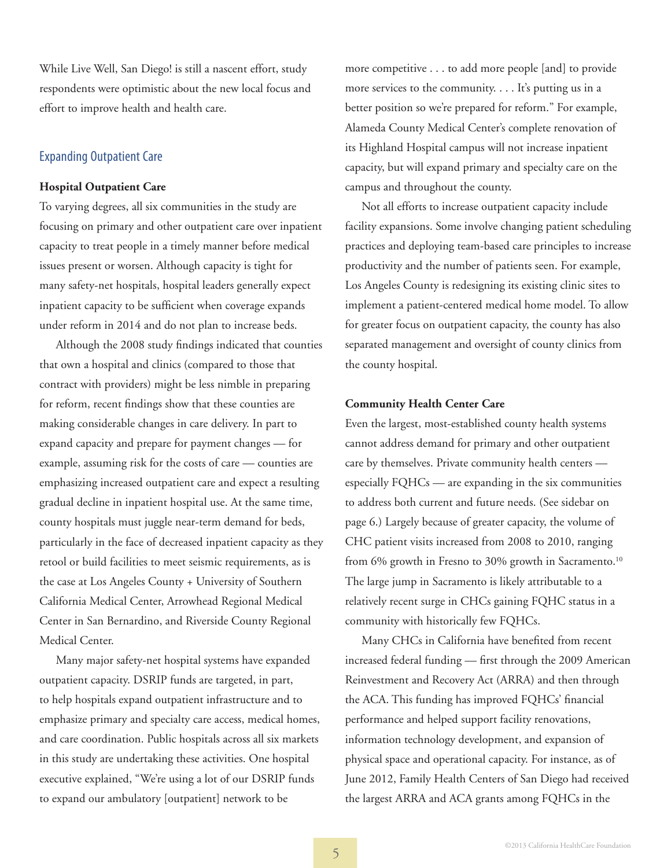While Live Well, San Diego! is still a nascent effort, study respondents were optimistic about the new local focus and effort to improve health and health care.

# Expanding Outpatient Care

### **Hospital Outpatient Care**

To varying degrees, all six communities in the study are focusing on primary and other outpatient care over inpatient capacity to treat people in a timely manner before medical issues present or worsen. Although capacity is tight for many safety-net hospitals, hospital leaders generally expect inpatient capacity to be sufficient when coverage expands under reform in 2014 and do not plan to increase beds.

Although the 2008 study findings indicated that counties that own a hospital and clinics (compared to those that contract with providers) might be less nimble in preparing for reform, recent findings show that these counties are making considerable changes in care delivery. In part to expand capacity and prepare for payment changes — for example, assuming risk for the costs of care — counties are emphasizing increased outpatient care and expect a resulting gradual decline in inpatient hospital use. At the same time, county hospitals must juggle near-term demand for beds, particularly in the face of decreased inpatient capacity as they retool or build facilities to meet seismic requirements, as is the case at Los Angeles County + University of Southern California Medical Center, Arrowhead Regional Medical Center in San Bernardino, and Riverside County Regional Medical Center.

Many major safety-net hospital systems have expanded outpatient capacity. DSRIP funds are targeted, in part, to help hospitals expand outpatient infrastructure and to emphasize primary and specialty care access, medical homes, and care coordination. Public hospitals across all six markets in this study are undertaking these activities. One hospital executive explained, "We're using a lot of our DSRIP funds to expand our ambulatory [outpatient] network to be

more competitive . . . to add more people [and] to provide more services to the community. . . . It's putting us in a better position so we're prepared for reform." For example, Alameda County Medical Center's complete renovation of its Highland Hospital campus will not increase inpatient capacity, but will expand primary and specialty care on the campus and throughout the county.

Not all efforts to increase outpatient capacity include facility expansions. Some involve changing patient scheduling practices and deploying team-based care principles to increase productivity and the number of patients seen. For example, Los Angeles County is redesigning its existing clinic sites to implement a patient-centered medical home model. To allow for greater focus on outpatient capacity, the county has also separated management and oversight of county clinics from the county hospital.

# **Community Health Center Care**

Even the largest, most-established county health systems cannot address demand for primary and other outpatient care by themselves. Private community health centers especially FQHCs — are expanding in the six communities to address both current and future needs. (See sidebar on page 6.) Largely because of greater capacity, the volume of CHC patient visits increased from 2008 to 2010, ranging from 6% growth in Fresno to 30% growth in Sacramento.<sup>10</sup> The large jump in Sacramento is likely attributable to a relatively recent surge in CHCs gaining FQHC status in a community with historically few FQHCs.

Many CHCs in California have benefited from recent increased federal funding — first through the 2009 American Reinvestment and Recovery Act (ARRA) and then through the ACA. This funding has improved FQHCs' financial performance and helped support facility renovations, information technology development, and expansion of physical space and operational capacity. For instance, as of June 2012, Family Health Centers of San Diego had received the largest ARRA and ACA grants among FQHCs in the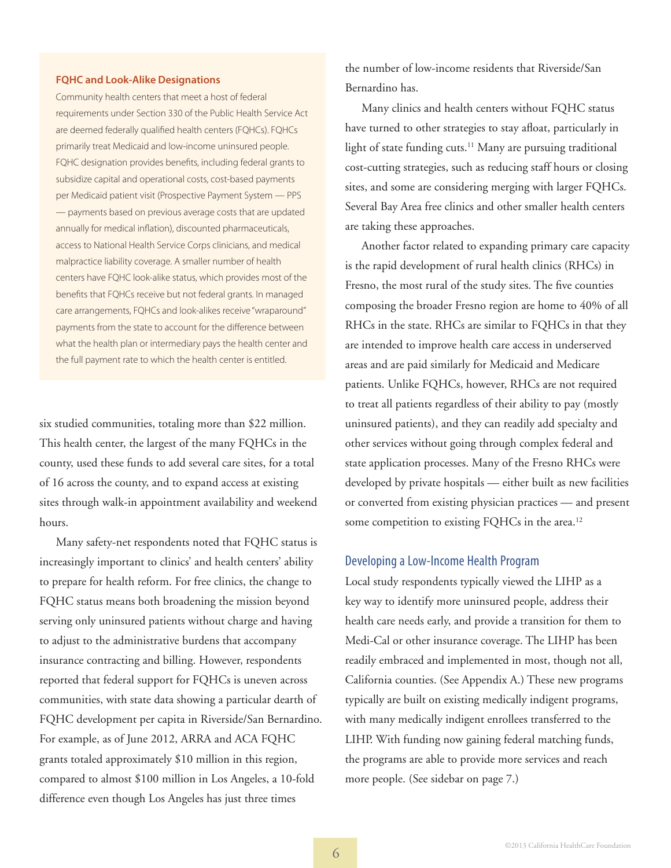#### **FQHC and Look-Alike Designations**

Community health centers that meet a host of federal requirements under Section 330 of the Public Health Service Act are deemed federally qualified health centers (FQHCs). FQHCs primarily treat Medicaid and low-income uninsured people. FQHC designation provides benefits, including federal grants to subsidize capital and operational costs, cost-based payments per Medicaid patient visit (Prospective Payment System — PPS — payments based on previous average costs that are updated annually for medical inflation), discounted pharmaceuticals, access to National Health Service Corps clinicians, and medical malpractice liability coverage. A smaller number of health centers have FQHC look-alike status, which provides most of the benefits that FQHCs receive but not federal grants. In managed care arrangements, FQHCs and look-alikes receive "wraparound" payments from the state to account for the difference between what the health plan or intermediary pays the health center and the full payment rate to which the health center is entitled.

six studied communities, totaling more than \$22 million. This health center, the largest of the many FQHCs in the county, used these funds to add several care sites, for a total of 16 across the county, and to expand access at existing sites through walk-in appointment availability and weekend hours.

Many safety-net respondents noted that FQHC status is increasingly important to clinics' and health centers' ability to prepare for health reform. For free clinics, the change to FQHC status means both broadening the mission beyond serving only uninsured patients without charge and having to adjust to the administrative burdens that accompany insurance contracting and billing. However, respondents reported that federal support for FQHCs is uneven across communities, with state data showing a particular dearth of FQHC development per capita in Riverside/San Bernardino. For example, as of June 2012, ARRA and ACA FQHC grants totaled approximately \$10 million in this region, compared to almost \$100 million in Los Angeles, a 10-fold difference even though Los Angeles has just three times

the number of low-income residents that Riverside/San Bernardino has.

Many clinics and health centers without FQHC status have turned to other strategies to stay afloat, particularly in light of state funding cuts.<sup>11</sup> Many are pursuing traditional cost-cutting strategies, such as reducing staff hours or closing sites, and some are considering merging with larger FQHCs. Several Bay Area free clinics and other smaller health centers are taking these approaches.

Another factor related to expanding primary care capacity is the rapid development of rural health clinics (RHCs) in Fresno, the most rural of the study sites. The five counties composing the broader Fresno region are home to 40% of all RHCs in the state. RHCs are similar to FQHCs in that they are intended to improve health care access in underserved areas and are paid similarly for Medicaid and Medicare patients. Unlike FQHCs, however, RHCs are not required to treat all patients regardless of their ability to pay (mostly uninsured patients), and they can readily add specialty and other services without going through complex federal and state application processes. Many of the Fresno RHCs were developed by private hospitals — either built as new facilities or converted from existing physician practices — and present some competition to existing FQHCs in the area.<sup>12</sup>

#### Developing a Low-Income Health Program

Local study respondents typically viewed the LIHP as a key way to identify more uninsured people, address their health care needs early, and provide a transition for them to Medi-Cal or other insurance coverage. The LIHP has been readily embraced and implemented in most, though not all, California counties. (See Appendix A.) These new programs typically are built on existing medically indigent programs, with many medically indigent enrollees transferred to the LIHP. With funding now gaining federal matching funds, the programs are able to provide more services and reach more people. (See sidebar on page 7.)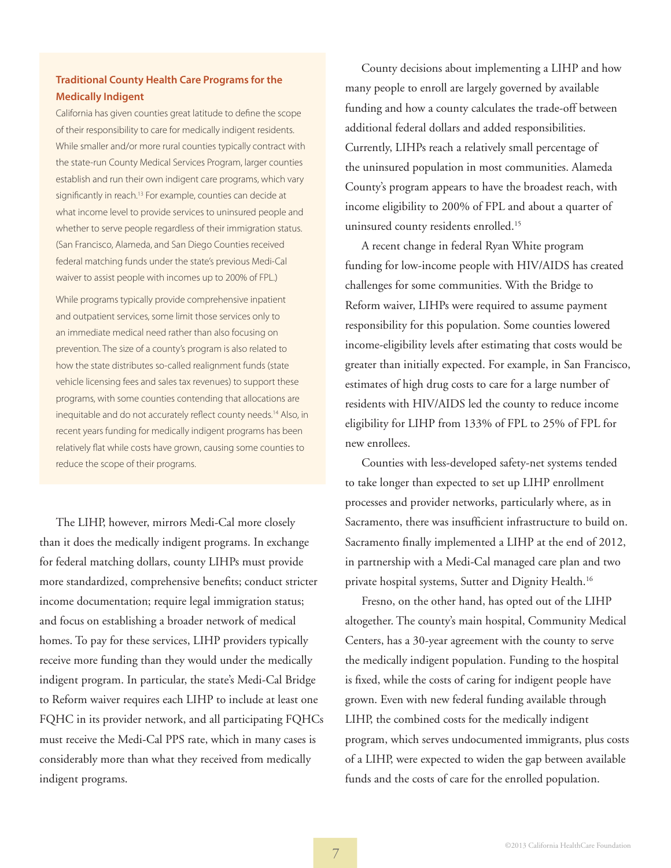# **Traditional County Health Care Programs for the Medically Indigent**

California has given counties great latitude to define the scope of their responsibility to care for medically indigent residents. While smaller and/or more rural counties typically contract with the state-run County Medical Services Program, larger counties establish and run their own indigent care programs, which vary significantly in reach.<sup>13</sup> For example, counties can decide at what income level to provide services to uninsured people and whether to serve people regardless of their immigration status. (San Francisco, Alameda, and San Diego Counties received federal matching funds under the state's previous Medi-Cal waiver to assist people with incomes up to 200% of FPL.)

While programs typically provide comprehensive inpatient and outpatient services, some limit those services only to an immediate medical need rather than also focusing on prevention. The size of a county's program is also related to how the state distributes so-called realignment funds (state vehicle licensing fees and sales tax revenues) to support these programs, with some counties contending that allocations are inequitable and do not accurately reflect county needs.<sup>14</sup> Also, in recent years funding for medically indigent programs has been relatively flat while costs have grown, causing some counties to reduce the scope of their programs.

The LIHP, however, mirrors Medi-Cal more closely than it does the medically indigent programs. In exchange for federal matching dollars, county LIHPs must provide more standardized, comprehensive benefits; conduct stricter income documentation; require legal immigration status; and focus on establishing a broader network of medical homes. To pay for these services, LIHP providers typically receive more funding than they would under the medically indigent program. In particular, the state's Medi-Cal Bridge to Reform waiver requires each LIHP to include at least one FQHC in its provider network, and all participating FQHCs must receive the Medi-Cal PPS rate, which in many cases is considerably more than what they received from medically indigent programs.

County decisions about implementing a LIHP and how many people to enroll are largely governed by available funding and how a county calculates the trade-off between additional federal dollars and added responsibilities. Currently, LIHPs reach a relatively small percentage of the uninsured population in most communities. Alameda County's program appears to have the broadest reach, with income eligibility to 200% of FPL and about a quarter of uninsured county residents enrolled.<sup>15</sup>

A recent change in federal Ryan White program funding for low-income people with HIV/AIDS has created challenges for some communities. With the Bridge to Reform waiver, LIHPs were required to assume payment responsibility for this population. Some counties lowered income-eligibility levels after estimating that costs would be greater than initially expected. For example, in San Francisco, estimates of high drug costs to care for a large number of residents with HIV/AIDS led the county to reduce income eligibility for LIHP from 133% of FPL to 25% of FPL for new enrollees.

Counties with less-developed safety-net systems tended to take longer than expected to set up LIHP enrollment processes and provider networks, particularly where, as in Sacramento, there was insufficient infrastructure to build on. Sacramento finally implemented a LIHP at the end of 2012, in partnership with a Medi-Cal managed care plan and two private hospital systems, Sutter and Dignity Health.16

Fresno, on the other hand, has opted out of the LIHP altogether. The county's main hospital, Community Medical Centers, has a 30-year agreement with the county to serve the medically indigent population. Funding to the hospital is fixed, while the costs of caring for indigent people have grown. Even with new federal funding available through LIHP, the combined costs for the medically indigent program, which serves undocumented immigrants, plus costs of a LIHP, were expected to widen the gap between available funds and the costs of care for the enrolled population.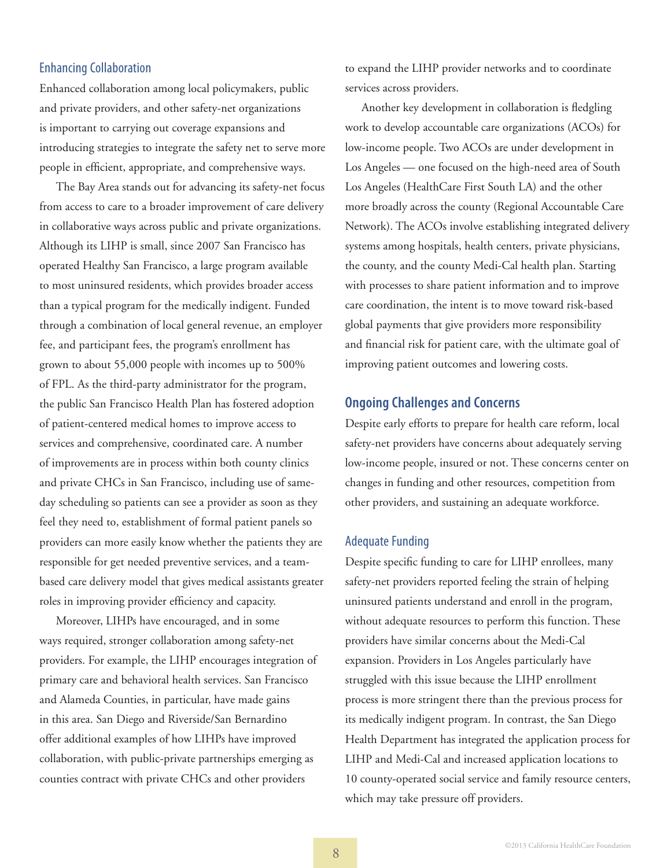# Enhancing Collaboration

Enhanced collaboration among local policymakers, public and private providers, and other safety-net organizations is important to carrying out coverage expansions and introducing strategies to integrate the safety net to serve more people in efficient, appropriate, and comprehensive ways.

The Bay Area stands out for advancing its safety-net focus from access to care to a broader improvement of care delivery in collaborative ways across public and private organizations. Although its LIHP is small, since 2007 San Francisco has operated Healthy San Francisco, a large program available to most uninsured residents, which provides broader access than a typical program for the medically indigent. Funded through a combination of local general revenue, an employer fee, and participant fees, the program's enrollment has grown to about 55,000 people with incomes up to 500% of FPL. As the third-party administrator for the program, the public San Francisco Health Plan has fostered adoption of patient-centered medical homes to improve access to services and comprehensive, coordinated care. A number of improvements are in process within both county clinics and private CHCs in San Francisco, including use of sameday scheduling so patients can see a provider as soon as they feel they need to, establishment of formal patient panels so providers can more easily know whether the patients they are responsible for get needed preventive services, and a teambased care delivery model that gives medical assistants greater roles in improving provider efficiency and capacity.

Moreover, LIHPs have encouraged, and in some ways required, stronger collaboration among safety-net providers. For example, the LIHP encourages integration of primary care and behavioral health services. San Francisco and Alameda Counties, in particular, have made gains in this area. San Diego and Riverside/San Bernardino offer additional examples of how LIHPs have improved collaboration, with public-private partnerships emerging as counties contract with private CHCs and other providers

to expand the LIHP provider networks and to coordinate services across providers.

Another key development in collaboration is fledgling work to develop accountable care organizations (ACOs) for low-income people. Two ACOs are under development in Los Angeles — one focused on the high-need area of South Los Angeles (HealthCare First South LA) and the other more broadly across the county (Regional Accountable Care Network). The ACOs involve establishing integrated delivery systems among hospitals, health centers, private physicians, the county, and the county Medi-Cal health plan. Starting with processes to share patient information and to improve care coordination, the intent is to move toward risk-based global payments that give providers more responsibility and financial risk for patient care, with the ultimate goal of improving patient outcomes and lowering costs.

# **Ongoing Challenges and Concerns**

Despite early efforts to prepare for health care reform, local safety-net providers have concerns about adequately serving low-income people, insured or not. These concerns center on changes in funding and other resources, competition from other providers, and sustaining an adequate workforce.

# Adequate Funding

Despite specific funding to care for LIHP enrollees, many safety-net providers reported feeling the strain of helping uninsured patients understand and enroll in the program, without adequate resources to perform this function. These providers have similar concerns about the Medi-Cal expansion. Providers in Los Angeles particularly have struggled with this issue because the LIHP enrollment process is more stringent there than the previous process for its medically indigent program. In contrast, the San Diego Health Department has integrated the application process for LIHP and Medi-Cal and increased application locations to 10 county-operated social service and family resource centers, which may take pressure off providers.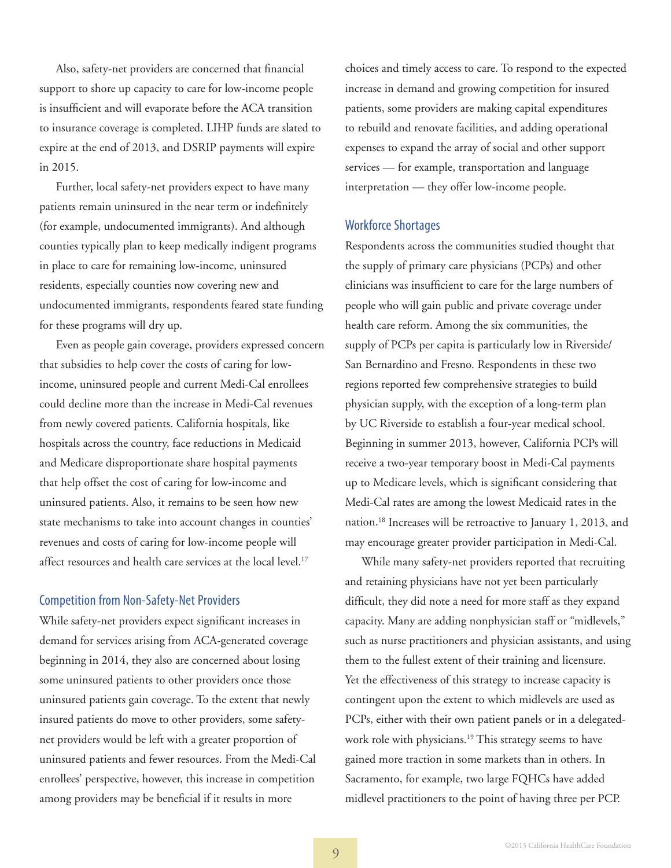Also, safety-net providers are concerned that financial support to shore up capacity to care for low-income people is insufficient and will evaporate before the ACA transition to insurance coverage is completed. LIHP funds are slated to expire at the end of 2013, and DSRIP payments will expire in 2015.

Further, local safety-net providers expect to have many patients remain uninsured in the near term or indefinitely (for example, undocumented immigrants). And although counties typically plan to keep medically indigent programs in place to care for remaining low-income, uninsured residents, especially counties now covering new and undocumented immigrants, respondents feared state funding for these programs will dry up.

Even as people gain coverage, providers expressed concern that subsidies to help cover the costs of caring for lowincome, uninsured people and current Medi-Cal enrollees could decline more than the increase in Medi-Cal revenues from newly covered patients. California hospitals, like hospitals across the country, face reductions in Medicaid and Medicare disproportionate share hospital payments that help offset the cost of caring for low-income and uninsured patients. Also, it remains to be seen how new state mechanisms to take into account changes in counties' revenues and costs of caring for low-income people will affect resources and health care services at the local level.<sup>17</sup>

# Competition from Non-Safety-Net Providers

While safety-net providers expect significant increases in demand for services arising from ACA-generated coverage beginning in 2014, they also are concerned about losing some uninsured patients to other providers once those uninsured patients gain coverage. To the extent that newly insured patients do move to other providers, some safetynet providers would be left with a greater proportion of uninsured patients and fewer resources. From the Medi-Cal enrollees' perspective, however, this increase in competition among providers may be beneficial if it results in more

choices and timely access to care. To respond to the expected increase in demand and growing competition for insured patients, some providers are making capital expenditures to rebuild and renovate facilities, and adding operational expenses to expand the array of social and other support services — for example, transportation and language interpretation — they offer low-income people.

# Workforce Shortages

Respondents across the communities studied thought that the supply of primary care physicians (PCPs) and other clinicians was insufficient to care for the large numbers of people who will gain public and private coverage under health care reform. Among the six communities, the supply of PCPs per capita is particularly low in Riverside/ San Bernardino and Fresno. Respondents in these two regions reported few comprehensive strategies to build physician supply, with the exception of a long-term plan by UC Riverside to establish a four-year medical school. Beginning in summer 2013, however, California PCPs will receive a two-year temporary boost in Medi-Cal payments up to Medicare levels, which is significant considering that Medi-Cal rates are among the lowest Medicaid rates in the nation.18 Increases will be retroactive to January 1, 2013, and may encourage greater provider participation in Medi-Cal.

While many safety-net providers reported that recruiting and retaining physicians have not yet been particularly difficult, they did note a need for more staff as they expand capacity. Many are adding nonphysician staff or "midlevels," such as nurse practitioners and physician assistants, and using them to the fullest extent of their training and licensure. Yet the effectiveness of this strategy to increase capacity is contingent upon the extent to which midlevels are used as PCPs, either with their own patient panels or in a delegatedwork role with physicians.<sup>19</sup> This strategy seems to have gained more traction in some markets than in others. In Sacramento, for example, two large FQHCs have added midlevel practitioners to the point of having three per PCP.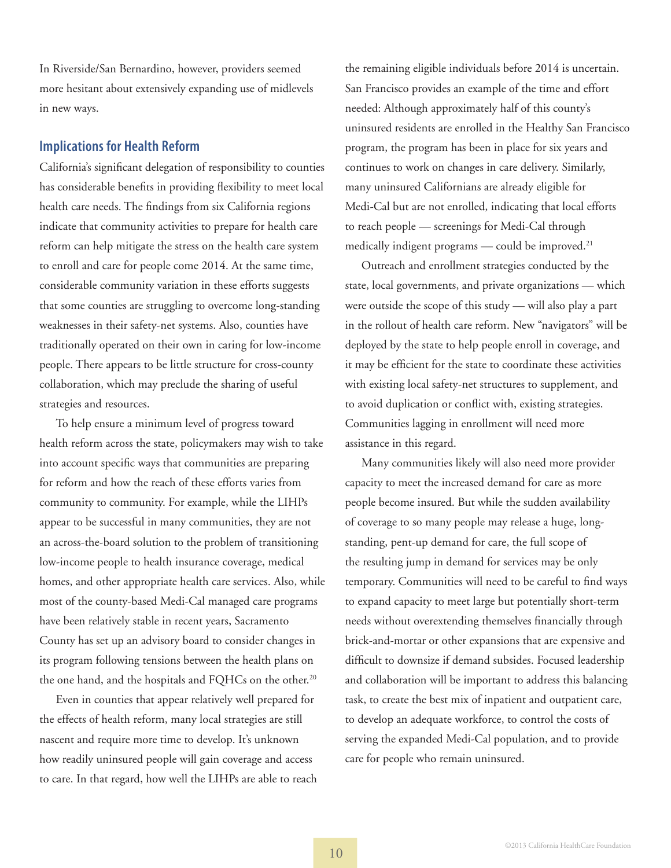In Riverside/San Bernardino, however, providers seemed more hesitant about extensively expanding use of midlevels in new ways.

# **Implications for Health Reform**

California's significant delegation of responsibility to counties has considerable benefits in providing flexibility to meet local health care needs. The findings from six California regions indicate that community activities to prepare for health care reform can help mitigate the stress on the health care system to enroll and care for people come 2014. At the same time, considerable community variation in these efforts suggests that some counties are struggling to overcome long-standing weaknesses in their safety-net systems. Also, counties have traditionally operated on their own in caring for low-income people. There appears to be little structure for cross-county collaboration, which may preclude the sharing of useful strategies and resources.

To help ensure a minimum level of progress toward health reform across the state, policymakers may wish to take into account specific ways that communities are preparing for reform and how the reach of these efforts varies from community to community. For example, while the LIHPs appear to be successful in many communities, they are not an across-the-board solution to the problem of transitioning low-income people to health insurance coverage, medical homes, and other appropriate health care services. Also, while most of the county-based Medi-Cal managed care programs have been relatively stable in recent years, Sacramento County has set up an advisory board to consider changes in its program following tensions between the health plans on the one hand, and the hospitals and FQHCs on the other.<sup>20</sup>

Even in counties that appear relatively well prepared for the effects of health reform, many local strategies are still nascent and require more time to develop. It's unknown how readily uninsured people will gain coverage and access to care. In that regard, how well the LIHPs are able to reach

the remaining eligible individuals before 2014 is uncertain. San Francisco provides an example of the time and effort needed: Although approximately half of this county's uninsured residents are enrolled in the Healthy San Francisco program, the program has been in place for six years and continues to work on changes in care delivery. Similarly, many uninsured Californians are already eligible for Medi-Cal but are not enrolled, indicating that local efforts to reach people — screenings for Medi-Cal through medically indigent programs — could be improved.<sup>21</sup>

Outreach and enrollment strategies conducted by the state, local governments, and private organizations — which were outside the scope of this study — will also play a part in the rollout of health care reform. New "navigators" will be deployed by the state to help people enroll in coverage, and it may be efficient for the state to coordinate these activities with existing local safety-net structures to supplement, and to avoid duplication or conflict with, existing strategies. Communities lagging in enrollment will need more assistance in this regard.

Many communities likely will also need more provider capacity to meet the increased demand for care as more people become insured. But while the sudden availability of coverage to so many people may release a huge, longstanding, pent-up demand for care, the full scope of the resulting jump in demand for services may be only temporary. Communities will need to be careful to find ways to expand capacity to meet large but potentially short-term needs without overextending themselves financially through brick-and-mortar or other expansions that are expensive and difficult to downsize if demand subsides. Focused leadership and collaboration will be important to address this balancing task, to create the best mix of inpatient and outpatient care, to develop an adequate workforce, to control the costs of serving the expanded Medi-Cal population, and to provide care for people who remain uninsured.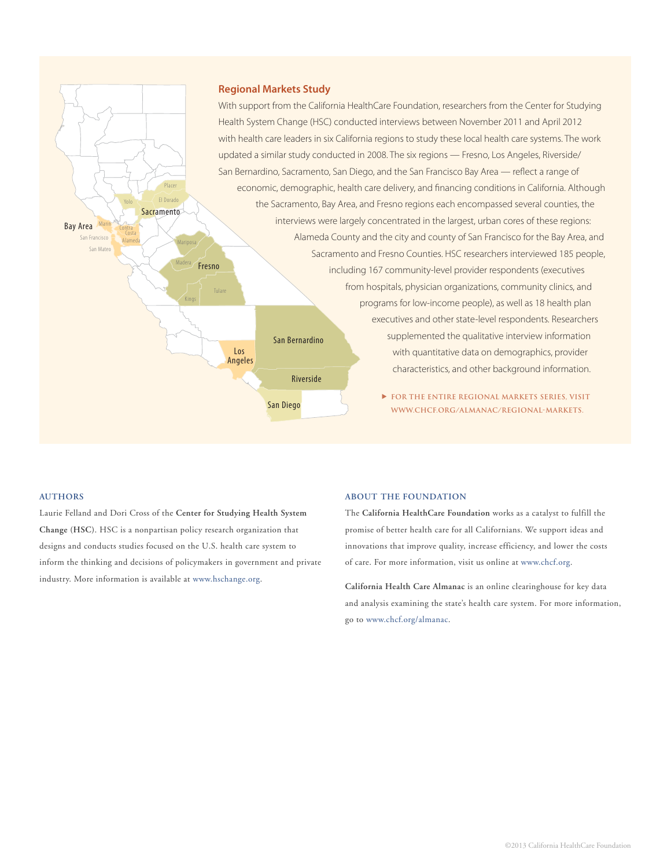

#### **Authors**

Laurie Felland and Dori Cross of the **Center for Studying Health System Change (HSC)**. HSC is a nonpartisan policy research organization that designs and conducts studies focused on the U.S. health care system to inform the thinking and decisions of policymakers in government and private industry. More information is available at [www.hschange.org](http://www.hschange.org).

#### **About the Foundation**

The **California HealthCare Foundation** works as a catalyst to fulfill the promise of better health care for all Californians. We support ideas and innovations that improve quality, increase efficiency, and lower the costs of care. For more information, visit us online at [www.chcf.org.](http://www.chcf.org)

**California Health Care Almanac** is an online clearinghouse for key data and analysis examining the state's health care system. For more information, go to <www.chcf.org/almanac>.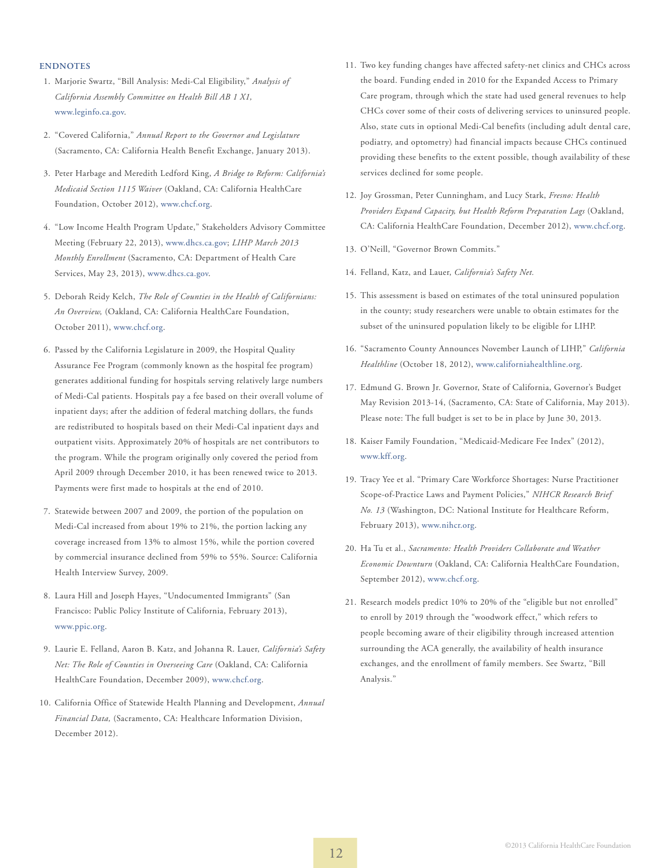#### **ENDNOTES**

- 1. Marjorie Swartz, "Bill Analysis: Medi-Cal Eligibility," *Analysis of California Assembly Committee on Health Bill AB 1 X1,* [www.leginfo.ca.gov](http://leginfo.ca.gov/pub/13-14/bill/asm/ab_0001-0050/abx1_1_cfa_20130215_155146_asm_comm.html).
- 2. "Covered California," *Annual Report to the Governor and Legislature* (Sacramento, CA: California Health Benefit Exchange, January 2013).
- 3. Peter Harbage and Meredith Ledford King, *A Bridge to Reform: California's Medicaid Section 1115 Waiver* (Oakland, CA: California HealthCare Foundation, October 2012), [www.chcf.org.](http://www.chcf.org/publications/2012/10/bridge-to-reform)
- 4. "Low Income Health Program Update," Stakeholders Advisory Committee Meeting (February 22, 2013), [www.dhcs.ca.gov](https://em2.mathematica-mpr.com/owa/redir.aspx?C=eeabfe3d28104efca2fb90a8e50bbdc0&URL=http%3a%2f%2fwww.dhcs.ca.gov%2fDocuments%2fLowIncomeHealthProgramUpdate.pdf); *LIHP March 2013 Monthly Enrollment* (Sacramento, CA: Department of Health Care Services, May 23, 2013), [www.dhcs.ca.gov](http://www.dhcs.ca.gov/provgovpart/Documents/LIHP/12%2019%20October%202012%20Enrollment.pdf).
- 5. Deborah Reidy Kelch, *The Role of Counties in the Health of Californians: An Overview,* (Oakland, CA: California HealthCare Foundation, October 2011), [www.chcf.org.](http://www.chcf.org/publications/2011/03/crucial-role-counties)
- 6. Passed by the California Legislature in 2009, the Hospital Quality Assurance Fee Program (commonly known as the hospital fee program) generates additional funding for hospitals serving relatively large numbers of Medi-Cal patients. Hospitals pay a fee based on their overall volume of inpatient days; after the addition of federal matching dollars, the funds are redistributed to hospitals based on their Medi-Cal inpatient days and outpatient visits. Approximately 20% of hospitals are net contributors to the program. While the program originally only covered the period from April 2009 through December 2010, it has been renewed twice to 2013. Payments were first made to hospitals at the end of 2010.
- 7. Statewide between 2007 and 2009, the portion of the population on Medi-Cal increased from about 19% to 21%, the portion lacking any coverage increased from 13% to almost 15%, while the portion covered by commercial insurance declined from 59% to 55%. Source: California Health Interview Survey, 2009.
- 8. Laura Hill and Joseph Hayes, "Undocumented Immigrants" (San Francisco: Public Policy Institute of California, February 2013), [www.ppic.org.](http://www.ppic.org/main/publication_show.asp?i=818)
- 9. Laurie E. Felland, Aaron B. Katz, and Johanna R. Lauer, *California's Safety Net: The Role of Counties in Overseeing Care* (Oakland, CA: California HealthCare Foundation, December 2009), [www.chcf.org.](http://www.chcf.org/publications/2009/12/issues-and-trends-from-a-sixregion-study-of-california-health-systems)
- 10. California Office of Statewide Health Planning and Development, *Annual Financial Data,* (Sacramento, CA: Healthcare Information Division, December 2012).
- 11. Two key funding changes have affected safety-net clinics and CHCs across the board. Funding ended in 2010 for the Expanded Access to Primary Care program, through which the state had used general revenues to help CHCs cover some of their costs of delivering services to uninsured people. Also, state cuts in optional Medi-Cal benefits (including adult dental care, podiatry, and optometry) had financial impacts because CHCs continued providing these benefits to the extent possible, though availability of these services declined for some people.
- 12. Joy Grossman, Peter Cunningham, and Lucy Stark, *Fresno: Health Providers Expand Capacity, but Health Reform Preparation Lags* (Oakland, CA: California HealthCare Foundation, December 2012), [www.chcf.org.](http://www.chcf.org/publications/2012/12/regional-market-fresno)
- 13. O'Neill, "Governor Brown Commits."
- 14. Felland, Katz, and Lauer, *California's Safety Net.*
- 15. This assessment is based on estimates of the total uninsured population in the county; study researchers were unable to obtain estimates for the subset of the uninsured population likely to be eligible for LIHP.
- 16. "Sacramento County Announces November Launch of LIHP," *California Healthline* (October 18, 2012), [www.californiahealthline.org.](http://www.californiahealthline.org/articles/2012/10/18/sacramento-county-announces-november-launch-of-lihp.aspx)
- 17. Edmund G. Brown Jr. Governor, State of California, Governor's Budget May Revision 2013-14, (Sacramento, CA: State of California, May 2013). Please note: The full budget is set to be in place by June 30, 2013.
- 18. Kaiser Family Foundation, "Medicaid-Medicare Fee Index" (2012), [www.kff.org](http://kff.org/medicaid/state-indicator/medicaid-to-medicare-fee-index/).
- 19. Tracy Yee et al. "Primary Care Workforce Shortages: Nurse Practitioner Scope-of-Practice Laws and Payment Policies," *NIHCR Research Brief No. 13* (Washington, DC: National Institute for Healthcare Reform, February 2013), [www.nihcr.org](http://www.nihcr.org/PCP-Workforce-NPs).
- 20. Ha Tu et al., *Sacramento: Health Providers Collaborate and Weather Economic Downturn* (Oakland, CA: California HealthCare Foundation, September 2012), [www.chcf.org](http://www.chcf.org/publications/2012/09/regional-market-sacramento).
- 21. Research models predict 10% to 20% of the "eligible but not enrolled" to enroll by 2019 through the "woodwork effect," which refers to people becoming aware of their eligibility through increased attention surrounding the ACA generally, the availability of health insurance exchanges, and the enrollment of family members. See Swartz, "Bill Analysis."